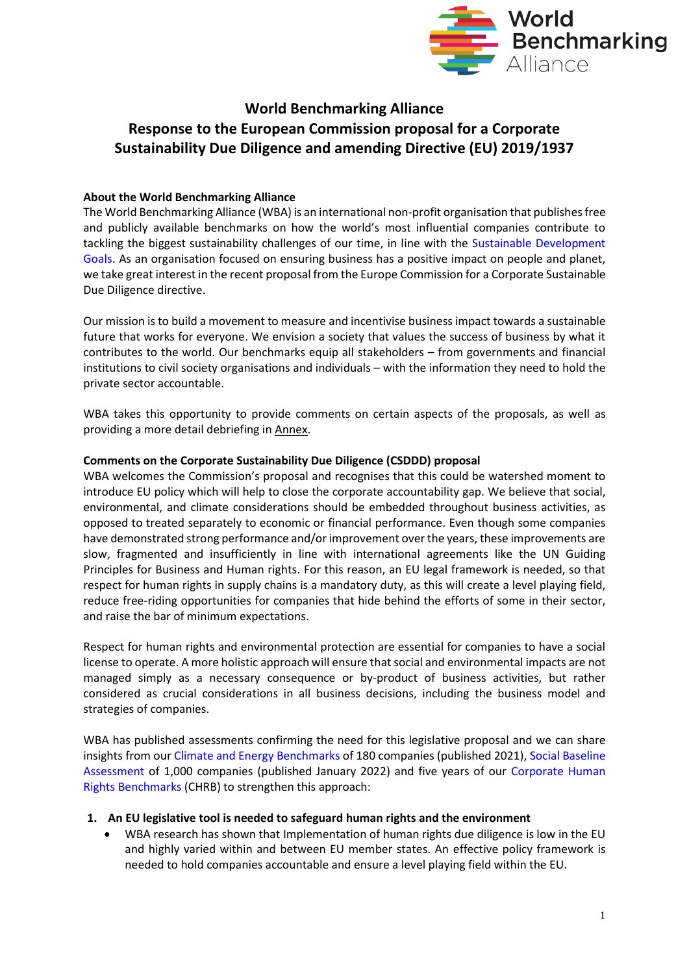

# **World Benchmarking Alliance Response to the European Commission proposal for a Corporate Sustainability Due Diligence and amending Directive (EU) 2019/1937**

## **About the World Benchmarking Alliance**

The World Benchmarking Alliance (WBA) is an international non-profit organisation that publishes free and publicly available benchmarks on how the world's most influential companies contribute to tackling the biggest sustainability challenges of our time, in line with the [Sustainable Development](https://www.bing.com/search?q=sustain%2Cable+developmenty+goals&cvid=d96ff1b694bc4ef2989fc9ed92857ee0&aqs=edge..69i57j0l8.3590j0j4&FORM=ANAB01&PC=U531)  [Goals.](https://www.bing.com/search?q=sustain%2Cable+developmenty+goals&cvid=d96ff1b694bc4ef2989fc9ed92857ee0&aqs=edge..69i57j0l8.3590j0j4&FORM=ANAB01&PC=U531) As an organisation focused on ensuring business has a positive impact on people and planet, we take great interest in the recent proposal from the Europe Commission for a Corporate Sustainable Due Diligence directive.

Our mission is to build a movement to measure and incentivise business impact towards a sustainable future that works for everyone. We envision a society that values the success of business by what it contributes to the world. Our benchmarks equip all stakeholders – from governments and financial institutions to civil society organisations and individuals – with the information they need to hold the private sector accountable.

WBA takes this opportunity to provide comments on certain aspects of the proposals, as well as providing a more detail debriefing in Annex.

#### **Comments on the Corporate Sustainability Due Diligence (CSDDD) proposal**

WBA welcomes the Commission's proposal and recognises that this could be watershed moment to introduce EU policy which will help to close the corporate accountability gap. We believe that social, environmental, and climate considerations should be embedded throughout business activities, as opposed to treated separately to economic or financial performance. Even though some companies have demonstrated strong performance and/or improvement over the years, these improvements are slow, fragmented and insufficiently in line with international agreements like the UN Guiding Principles for Business and Human rights. For this reason, an EU legal framework is needed, so that respect for human rights in supply chains is a mandatory duty, as this will create a level playing field, reduce free-riding opportunities for companies that hide behind the efforts of some in their sector, and raise the bar of minimum expectations.

Respect for human rights and environmental protection are essential for companies to have a social license to operate. A more holistic approach will ensure that social and environmental impacts are not managed simply as a necessary consequence or by-product of business activities, but rather considered as crucial considerations in all business decisions, including the business model and strategies of companies.

WBA has published assessments confirming the need for this legislative proposal and we can share insights from ou[r Climate and Energy Benchmarks](https://www.worldbenchmarkingalliance.org/climate-and-energy-benchmark/) of 180 companies (published 2021), [Social Baseline](https://www.worldbenchmarkingalliance.org/research/2022-social-transformation-baseline-assessment/)  [Assessment](https://www.worldbenchmarkingalliance.org/research/2022-social-transformation-baseline-assessment/) of 1,000 companies (published January 2022) and five years of our [Corporate Human](https://www.worldbenchmarkingalliance.org/corporate-human-rights-benchmark/)  [Rights Benchmarks](https://www.worldbenchmarkingalliance.org/corporate-human-rights-benchmark/) (CHRB) to strengthen this approach:

#### **1. An EU legislative tool is needed to safeguard human rights and the environment**

• WBA research has shown that Implementation of human rights due diligence is low in the EU and highly varied within and between EU member states. An effective policy framework is needed to hold companies accountable and ensure a level playing field within the EU.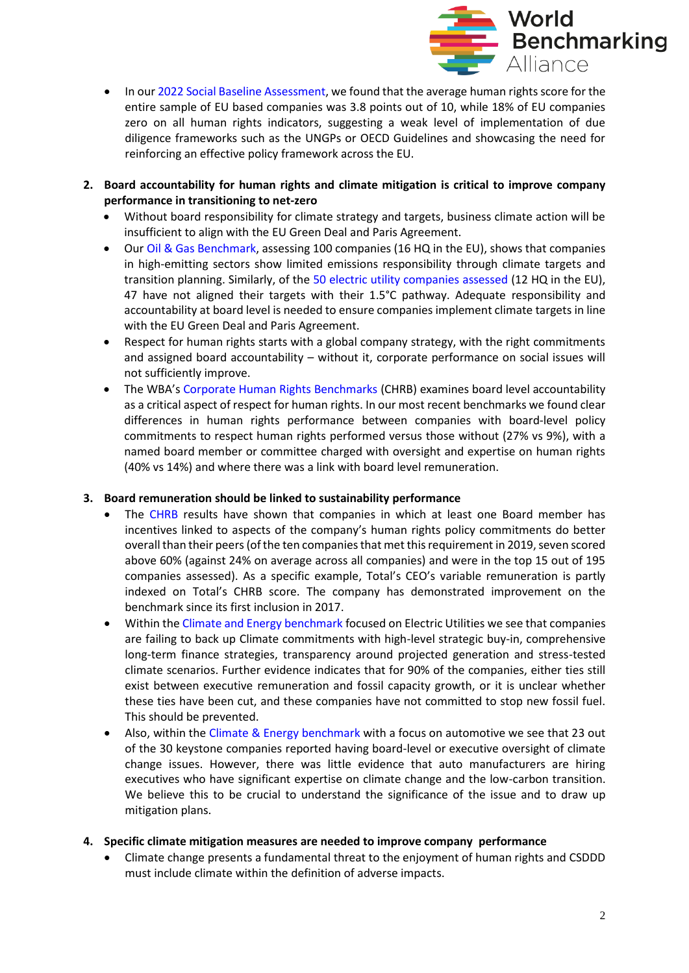

- In ou[r 2022 Social Baseline Assessment,](https://www.worldbenchmarkingalliance.org/research/2022-social-transformation-baseline-assessment/) we found that the average human rights score for the entire sample of EU based companies was 3.8 points out of 10, while 18% of EU companies zero on all human rights indicators, suggesting a weak level of implementation of due diligence frameworks such as the UNGPs or OECD Guidelines and showcasing the need for reinforcing an effective policy framework across the EU.
- **2. Board accountability for human rights and climate mitigation is critical to improve company performance in transitioning to net-zero**
	- Without board responsibility for climate strategy and targets, business climate action will be insufficient to align with the EU Green Deal and Paris Agreement.
	- Our [Oil & Gas Benchmark,](https://www.worldbenchmarkingalliance.org/publication/oil-and-gas/) assessing 100 companies (16 HQ in the EU), shows that companies in high-emitting sectors show limited emissions responsibility through climate targets and transition planning. Similarly, of the [50 electric utility companies assessed](https://www.worldbenchmarkingalliance.org/publication/electric-utilities/) (12 HQ in the EU), 47 have not aligned their targets with their 1.5°C pathway. Adequate responsibility and accountability at board level is needed to ensure companies implement climate targets in line with the EU Green Deal and Paris Agreement.
	- Respect for human rights starts with a global company strategy, with the right commitments and assigned board accountability – without it, corporate performance on social issues will not sufficiently improve.
	- The WBA's [Corporate Human Rights Benchmarks](https://www.worldbenchmarkingalliance.org/corporate-human-rights-benchmark/) (CHRB) examines board level accountability as a critical aspect of respect for human rights. In our most recent benchmarks we found clear differences in human rights performance between companies with board-level policy commitments to respect human rights performed versus those without (27% vs 9%), with a named board member or committee charged with oversight and expertise on human rights (40% vs 14%) and where there was a link with board level remuneration.

#### **3. Board remuneration should be linked to sustainability performance**

- The [CHRB](https://www.worldbenchmarkingalliance.org/corporate-human-rights-benchmark/) results have shown that companies in which at least one Board member has incentives linked to aspects of the company's human rights policy commitments do better overall than their peers (of the ten companies that met this requirement in 2019, seven scored above 60% (against 24% on average across all companies) and were in the top 15 out of 195 companies assessed). As a specific example, Total's CEO's variable remuneration is partly indexed on Total's CHRB score. The company has demonstrated improvement on the benchmark since its first inclusion in 2017.
- Within the [Climate and Energy benchmark](https://www.worldbenchmarkingalliance.org/climate-and-energy-benchmark/) focused on Electric Utilities we see that companies are failing to back up Climate commitments with high-level strategic buy-in, comprehensive long-term finance strategies, transparency around projected generation and stress-tested climate scenarios. Further evidence indicates that for 90% of the companies, either ties still exist between executive remuneration and fossil capacity growth, or it is unclear whether these ties have been cut, and these companies have not committed to stop new fossil fuel. This should be prevented.
- Also, within the [Climate & Energy benchmark](https://www.worldbenchmarkingalliance.org/climate-and-energy-benchmark/) with a focus on automotive we see that 23 out of the 30 keystone companies reported having board-level or executive oversight of climate change issues. However, there was little evidence that auto manufacturers are hiring executives who have significant expertise on climate change and the low-carbon transition. We believe this to be crucial to understand the significance of the issue and to draw up mitigation plans.
- **4. Specific climate mitigation measures are needed to improve company performance**
	- Climate change presents a fundamental threat to the enjoyment of human rights and CSDDD must include climate within the definition of adverse impacts.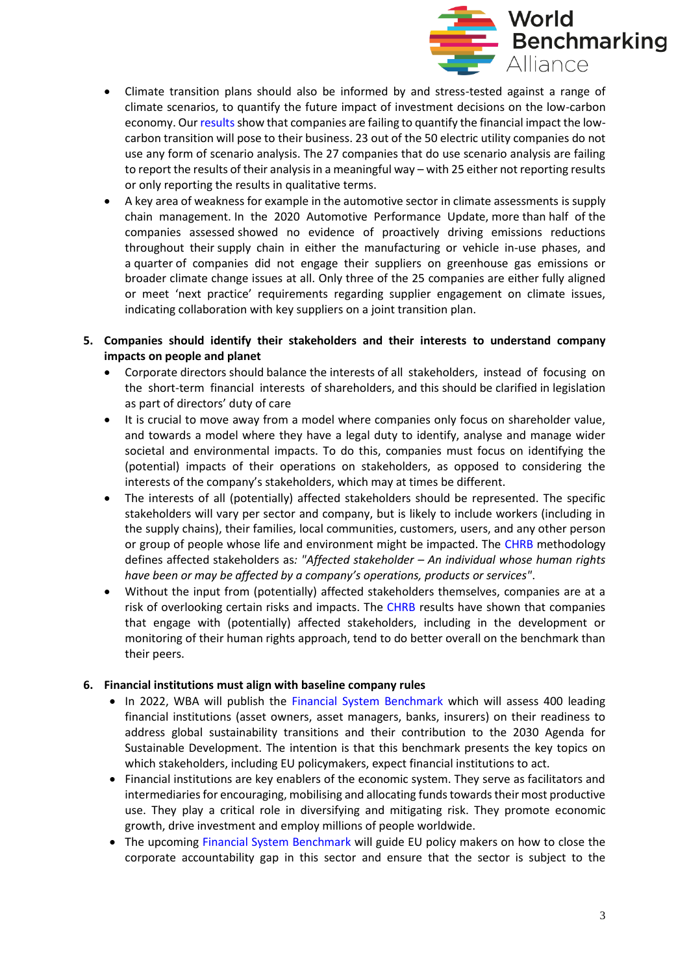

- Climate transition plans should also be informed by and stress-tested against a range of climate scenarios, to quantify the future impact of investment decisions on the low-carbon economy. Our [results](https://www.worldbenchmarkingalliance.org/climate-and-energy-benchmark/) show that companies are failing to quantify the financial impact the lowcarbon transition will pose to their business. 23 out of the 50 electric utility companies do not use any form of scenario analysis. The 27 companies that do use scenario analysis are failing to report the results of their analysis in a meaningful way – with 25 either not reporting results or only reporting the results in qualitative terms.
- A key area of weakness for example in the automotive sector in climate assessments is supply chain management. In the 2020 Automotive Performance Update, more than half of the companies assessed showed no evidence of proactively driving emissions reductions throughout their supply chain in either the manufacturing or vehicle in-use phases, and a quarter of companies did not engage their suppliers on greenhouse gas emissions or broader climate change issues at all. Only three of the 25 companies are either fully aligned or meet 'next practice' requirements regarding supplier engagement on climate issues, indicating collaboration with key suppliers on a joint transition plan.
- **5. Companies should identify their stakeholders and their interests to understand company impacts on people and planet**
	- Corporate directors should balance the interests of all stakeholders, instead of focusing on the short-term financial interests of shareholders, and this should be clarified in legislation as part of directors' duty of care
	- It is crucial to move away from a model where companies only focus on shareholder value, and towards a model where they have a legal duty to identify, analyse and manage wider societal and environmental impacts. To do this, companies must focus on identifying the (potential) impacts of their operations on stakeholders, as opposed to considering the interests of the company's stakeholders, which may at times be different.
	- The interests of all (potentially) affected stakeholders should be represented. The specific stakeholders will vary per sector and company, but is likely to include workers (including in the supply chains), their families, local communities, customers, users, and any other person or group of people whose life and environment might be impacted. The [CHRB](https://www.worldbenchmarkingalliance.org/corporate-human-rights-benchmark/) methodology defines affected stakeholders as*: "Affected stakeholder – An individual whose human rights have been or may be affected by a company's operations, products or services"*.
	- Without the input from (potentially) affected stakeholders themselves, companies are at a risk of overlooking certain risks and impacts. The [CHRB](https://www.worldbenchmarkingalliance.org/corporate-human-rights-benchmark/) results have shown that companies that engage with (potentially) affected stakeholders, including in the development or monitoring of their human rights approach, tend to do better overall on the benchmark than their peers.

#### **6. Financial institutions must align with baseline company rules**

- In 2022, WBA will publish the [Financial System Benchmark](https://www.worldbenchmarkingalliance.org/financial-system-benchmark/) which will assess 400 leading financial institutions (asset owners, asset managers, banks, insurers) on their readiness to address global sustainability transitions and their contribution to the 2030 Agenda for Sustainable Development. The intention is that this benchmark presents the key topics on which stakeholders, including EU policymakers, expect financial institutions to act.
- Financial institutions are key enablers of the economic system. They serve as facilitators and intermediaries for encouraging, mobilising and allocating funds towards their most productive use. They play a critical role in diversifying and mitigating risk. They promote economic growth, drive investment and employ millions of people worldwide.
- The upcoming [Financial System Benchmark](https://www.worldbenchmarkingalliance.org/financial-system-benchmark/) will guide EU policy makers on how to close the corporate accountability gap in this sector and ensure that the sector is subject to the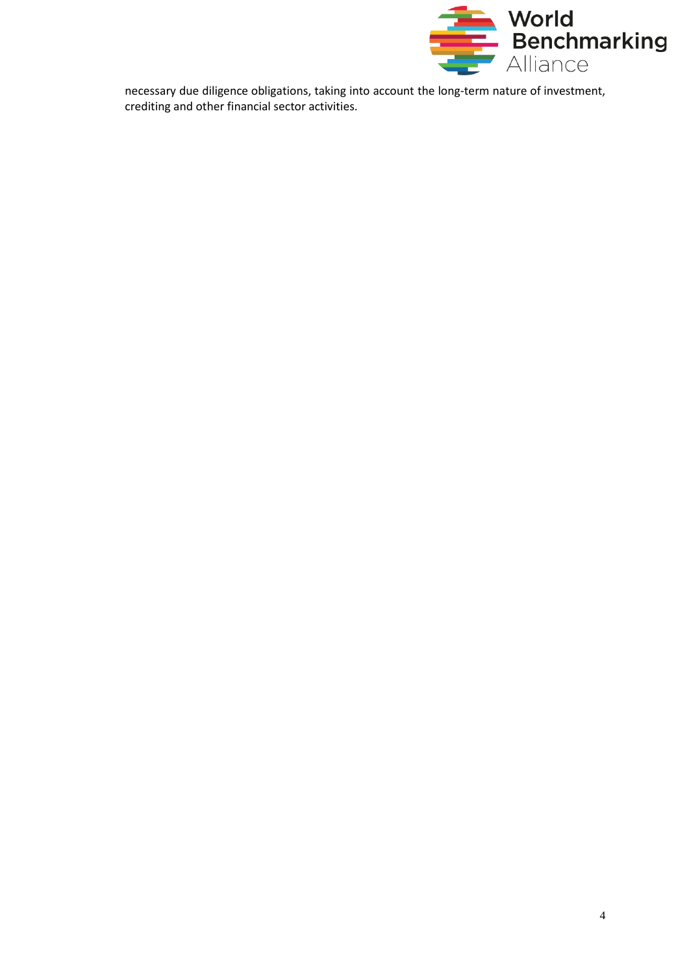

necessary due diligence obligations, taking into account the long-term nature of investment, crediting and other financial sector activities.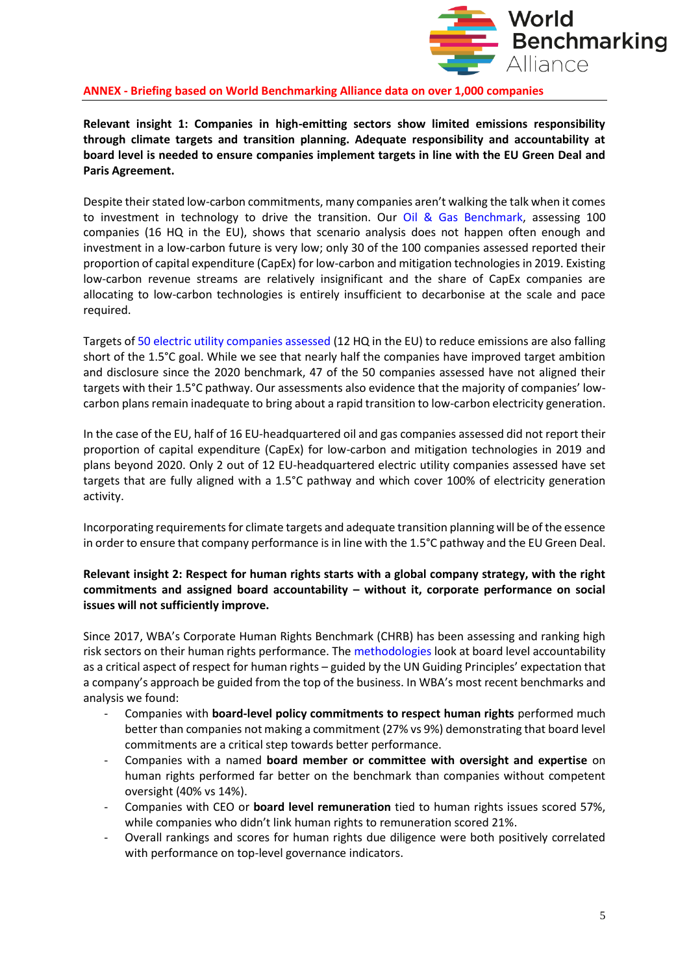

**ANNEX - Briefing based on World Benchmarking Alliance data on over 1,000 companies**

**Relevant insight 1: Companies in high-emitting sectors show limited emissions responsibility through climate targets and transition planning. Adequate responsibility and accountability at board level is needed to ensure companies implement targets in line with the EU Green Deal and Paris Agreement.**

Despite their stated low-carbon commitments, many companies aren't walking the talk when it comes to investment in technology to drive the transition. Our [Oil & Gas Benchmark,](https://www.worldbenchmarkingalliance.org/publication/oil-and-gas/) assessing 100 companies (16 HQ in the EU), shows that scenario analysis does not happen often enough and investment in a low-carbon future is very low; only 30 of the 100 companies assessed reported their proportion of capital expenditure (CapEx) for low-carbon and mitigation technologies in 2019. Existing low-carbon revenue streams are relatively insignificant and the share of CapEx companies are allocating to low-carbon technologies is entirely insufficient to decarbonise at the scale and pace required.

Targets of [50 electric utility companies assessed](https://www.worldbenchmarkingalliance.org/publication/electric-utilities/) (12 HQ in the EU) to reduce emissions are also falling short of the 1.5°C goal. While we see that nearly half the companies have improved target ambition and disclosure since the 2020 benchmark, 47 of the 50 companies assessed have not aligned their targets with their 1.5°C pathway. Our assessments also evidence that the majority of companies' lowcarbon plans remain inadequate to bring about a rapid transition to low-carbon electricity generation.

In the case of the EU, half of 16 EU-headquartered oil and gas companies assessed did not report their proportion of capital expenditure (CapEx) for low-carbon and mitigation technologies in 2019 and plans beyond 2020. Only 2 out of 12 EU-headquartered electric utility companies assessed have set targets that are fully aligned with a 1.5°C pathway and which cover 100% of electricity generation activity.

Incorporating requirements for climate targets and adequate transition planning will be of the essence in order to ensure that company performance is in line with the 1.5°C pathway and the EU Green Deal.

### **Relevant insight 2: Respect for human rights starts with a global company strategy, with the right commitments and assigned board accountability – without it, corporate performance on social issues will not sufficiently improve.**

Since 2017, WBA's Corporate Human Rights Benchmark (CHRB) has been assessing and ranking high risk sectors on their human rights performance. The [methodologies](https://www.worldbenchmarkingalliance.org/research/the-methodology-for-the-2022-corporate-human-rights-benchmark/) look at board level accountability as a critical aspect of respect for human rights – guided by the UN Guiding Principles' expectation that a company's approach be guided from the top of the business. In WBA's most recent benchmarks and analysis we found:

- Companies with **board-level policy commitments to respect human rights** performed much better than companies not making a commitment (27% vs 9%) demonstrating that board level commitments are a critical step towards better performance.
- Companies with a named **board member or committee with oversight and expertise** on human rights performed far better on the benchmark than companies without competent oversight (40% vs 14%).
- Companies with CEO or **board level remuneration** tied to human rights issues scored 57%, while companies who didn't link human rights to remuneration scored 21%.
- Overall rankings and scores for human rights due diligence were both positively correlated with performance on top-level governance indicators.